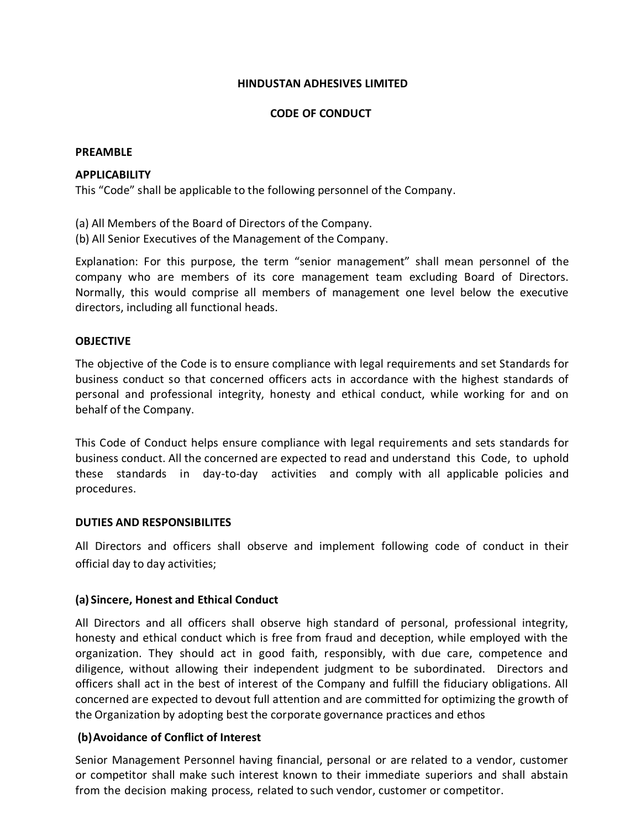### **HINDUSTAN ADHESIVES LIMITED**

### **CODE OF CONDUCT**

### **PREAMBLE**

### **APPLICABILITY**

This "Code" shall be applicable to the following personnel of the Company.

(a) All Members of the Board of Directors of the Company.

(b) All Senior Executives of the Management of the Company.

Explanation: For this purpose, the term "senior management" shall mean personnel of the company who are members of its core management team excluding Board of Directors. Normally, this would comprise all members of management one level below the executive directors, including all functional heads.

#### **OBJECTIVE**

The objective of the Code is to ensure compliance with legal requirements and set Standards for business conduct so that concerned officers acts in accordance with the highest standards of personal and professional integrity, honesty and ethical conduct, while working for and on behalf of the Company.

This Code of Conduct helps ensure compliance with legal requirements and sets standards for business conduct. All the concerned are expected to read and understand this Code, to uphold these standards in day-to-day activities and comply with all applicable policies and procedures.

#### **DUTIES AND RESPONSIBILITES**

All Directors and officers shall observe and implement following code of conduct in their official day to day activities;

### **(a) Sincere, Honest and Ethical Conduct**

All Directors and all officers shall observe high standard of personal, professional integrity, honesty and ethical conduct which is free from fraud and deception, while employed with the organization. They should act in good faith, responsibly, with due care, competence and diligence, without allowing their independent judgment to be subordinated. Directors and officers shall act in the best of interest of the Company and fulfill the fiduciary obligations. All concerned are expected to devout full attention and are committed for optimizing the growth of the Organization by adopting best the corporate governance practices and ethos

### **(b)Avoidance of Conflict of Interest**

Senior Management Personnel having financial, personal or are related to a vendor, customer or competitor shall make such interest known to their immediate superiors and shall abstain from the decision making process, related to such vendor, customer or competitor.